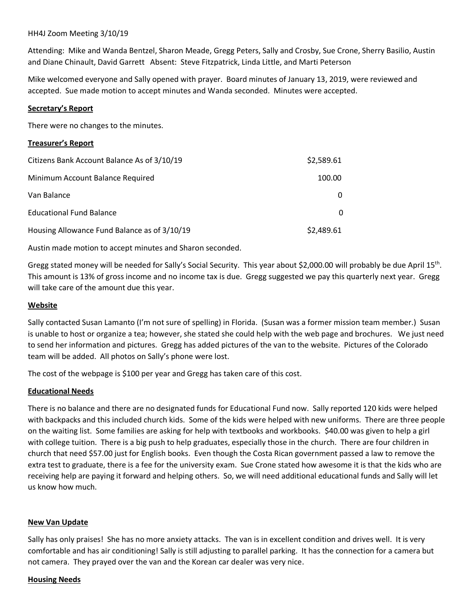### HH4J Zoom Meeting 3/10/19

Attending: Mike and Wanda Bentzel, Sharon Meade, Gregg Peters, Sally and Crosby, Sue Crone, Sherry Basilio, Austin and Diane Chinault, David Garrett Absent: Steve Fitzpatrick, Linda Little, and Marti Peterson

Mike welcomed everyone and Sally opened with prayer. Board minutes of January 13, 2019, were reviewed and accepted. Sue made motion to accept minutes and Wanda seconded. Minutes were accepted.

## **Secretary's Report**

There were no changes to the minutes.

## **Treasurer's Report**

| Citizens Bank Account Balance As of 3/10/19  | \$2,589.61 |
|----------------------------------------------|------------|
| Minimum Account Balance Required             | 100.00     |
| Van Balance                                  |            |
| <b>Educational Fund Balance</b>              |            |
| Housing Allowance Fund Balance as of 3/10/19 | \$2,489.61 |

Austin made motion to accept minutes and Sharon seconded.

Gregg stated money will be needed for Sally's Social Security. This year about \$2,000.00 will probably be due April 15<sup>th</sup>. This amount is 13% of gross income and no income tax is due. Gregg suggested we pay this quarterly next year. Gregg will take care of the amount due this year.

### **Website**

Sally contacted Susan Lamanto (I'm not sure of spelling) in Florida. (Susan was a former mission team member.) Susan is unable to host or organize a tea; however, she stated she could help with the web page and brochures. We just need to send her information and pictures. Gregg has added pictures of the van to the website. Pictures of the Colorado team will be added. All photos on Sally's phone were lost.

The cost of the webpage is \$100 per year and Gregg has taken care of this cost.

### **Educational Needs**

There is no balance and there are no designated funds for Educational Fund now. Sally reported 120 kids were helped with backpacks and this included church kids. Some of the kids were helped with new uniforms. There are three people on the waiting list. Some families are asking for help with textbooks and workbooks. \$40.00 was given to help a girl with college tuition. There is a big push to help graduates, especially those in the church. There are four children in church that need \$57.00 just for English books. Even though the Costa Rican government passed a law to remove the extra test to graduate, there is a fee for the university exam. Sue Crone stated how awesome it is that the kids who are receiving help are paying it forward and helping others. So, we will need additional educational funds and Sally will let us know how much.

### **New Van Update**

Sally has only praises! She has no more anxiety attacks. The van is in excellent condition and drives well. It is very comfortable and has air conditioning! Sally is still adjusting to parallel parking. It has the connection for a camera but not camera. They prayed over the van and the Korean car dealer was very nice.

### **Housing Needs**